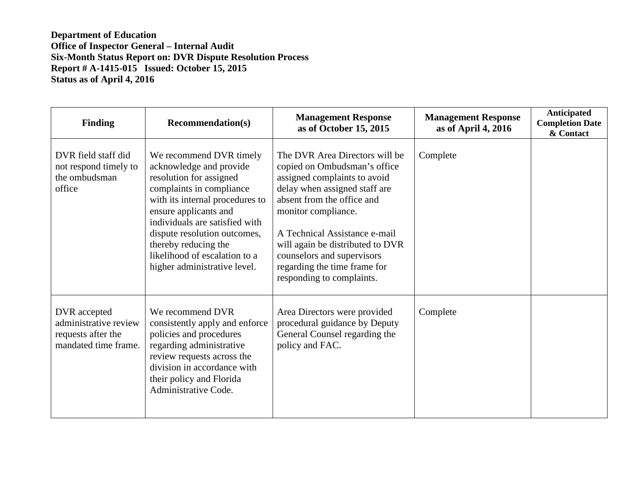**Department of Education Office of Inspector General – Internal Audit Six-Month Status Report on: DVR Dispute Resolution Process Report # A-1415-015 Issued: October 15, 2015 Status as of April 4, 2016**

| <b>Finding</b>                                                                      | <b>Recommendation(s)</b>                                                                                                                                                                                                                                                                                                         | <b>Management Response</b><br>as of October 15, 2015                                                                                                                                                                                                                                                                                                 | <b>Management Response</b><br>as of April 4, 2016 | Anticipated<br><b>Completion Date</b><br>& Contact |
|-------------------------------------------------------------------------------------|----------------------------------------------------------------------------------------------------------------------------------------------------------------------------------------------------------------------------------------------------------------------------------------------------------------------------------|------------------------------------------------------------------------------------------------------------------------------------------------------------------------------------------------------------------------------------------------------------------------------------------------------------------------------------------------------|---------------------------------------------------|----------------------------------------------------|
| DVR field staff did<br>not respond timely to<br>the ombudsman<br>office             | We recommend DVR timely<br>acknowledge and provide<br>resolution for assigned<br>complaints in compliance<br>with its internal procedures to<br>ensure applicants and<br>individuals are satisfied with<br>dispute resolution outcomes,<br>thereby reducing the<br>likelihood of escalation to a<br>higher administrative level. | The DVR Area Directors will be<br>copied on Ombudsman's office<br>assigned complaints to avoid<br>delay when assigned staff are<br>absent from the office and<br>monitor compliance.<br>A Technical Assistance e-mail<br>will again be distributed to DVR<br>counselors and supervisors<br>regarding the time frame for<br>responding to complaints. | Complete                                          |                                                    |
| DVR accepted<br>administrative review<br>requests after the<br>mandated time frame. | We recommend DVR<br>consistently apply and enforce<br>policies and procedures<br>regarding administrative<br>review requests across the<br>division in accordance with<br>their policy and Florida<br>Administrative Code.                                                                                                       | Area Directors were provided<br>procedural guidance by Deputy<br>General Counsel regarding the<br>policy and FAC.                                                                                                                                                                                                                                    | Complete                                          |                                                    |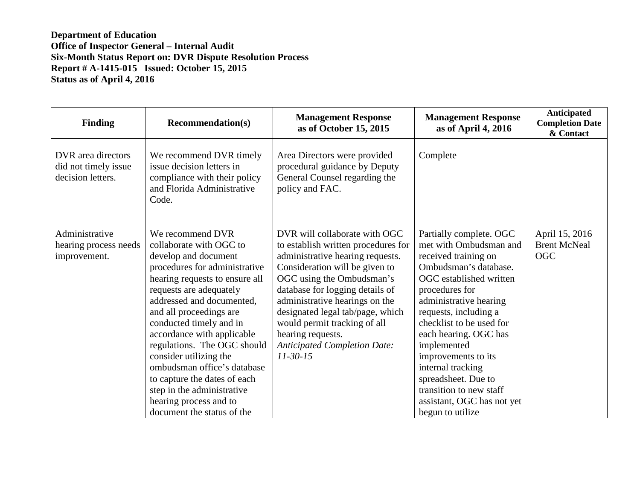**Department of Education Office of Inspector General – Internal Audit Six-Month Status Report on: DVR Dispute Resolution Process Report # A-1415-015 Issued: October 15, 2015 Status as of April 4, 2016**

| <b>Finding</b>                                                  | <b>Recommendation(s)</b>                                                                                                                                                                                                                                                                                                                                                                                                                 | <b>Management Response</b><br>as of October 15, 2015                                                                                                                                                                                                                                                                                                                                       | <b>Management Response</b><br>as of April 4, 2016                                                                                                                                                                                                                                                                                                                    | Anticipated<br><b>Completion Date</b><br>& Contact  |
|-----------------------------------------------------------------|------------------------------------------------------------------------------------------------------------------------------------------------------------------------------------------------------------------------------------------------------------------------------------------------------------------------------------------------------------------------------------------------------------------------------------------|--------------------------------------------------------------------------------------------------------------------------------------------------------------------------------------------------------------------------------------------------------------------------------------------------------------------------------------------------------------------------------------------|----------------------------------------------------------------------------------------------------------------------------------------------------------------------------------------------------------------------------------------------------------------------------------------------------------------------------------------------------------------------|-----------------------------------------------------|
| DVR area directors<br>did not timely issue<br>decision letters. | We recommend DVR timely<br>issue decision letters in<br>compliance with their policy<br>and Florida Administrative<br>Code.                                                                                                                                                                                                                                                                                                              | Area Directors were provided<br>procedural guidance by Deputy<br>General Counsel regarding the<br>policy and FAC.                                                                                                                                                                                                                                                                          | Complete                                                                                                                                                                                                                                                                                                                                                             |                                                     |
| Administrative<br>hearing process needs<br>improvement.         | We recommend DVR<br>collaborate with OGC to<br>develop and document<br>procedures for administrative<br>hearing requests to ensure all<br>requests are adequately<br>addressed and documented,<br>and all proceedings are<br>conducted timely and in<br>accordance with applicable<br>regulations. The OGC should<br>consider utilizing the<br>ombudsman office's database<br>to capture the dates of each<br>step in the administrative | DVR will collaborate with OGC<br>to establish written procedures for<br>administrative hearing requests.<br>Consideration will be given to<br>OGC using the Ombudsman's<br>database for logging details of<br>administrative hearings on the<br>designated legal tab/page, which<br>would permit tracking of all<br>hearing requests.<br><b>Anticipated Completion Date:</b><br>$11-30-15$ | Partially complete. OGC<br>met with Ombudsman and<br>received training on<br>Ombudsman's database.<br>OGC established written<br>procedures for<br>administrative hearing<br>requests, including a<br>checklist to be used for<br>each hearing. OGC has<br>implemented<br>improvements to its<br>internal tracking<br>spreadsheet. Due to<br>transition to new staff | April 15, 2016<br><b>Brent McNeal</b><br><b>OGC</b> |
|                                                                 | hearing process and to<br>document the status of the                                                                                                                                                                                                                                                                                                                                                                                     |                                                                                                                                                                                                                                                                                                                                                                                            | assistant, OGC has not yet<br>begun to utilize                                                                                                                                                                                                                                                                                                                       |                                                     |